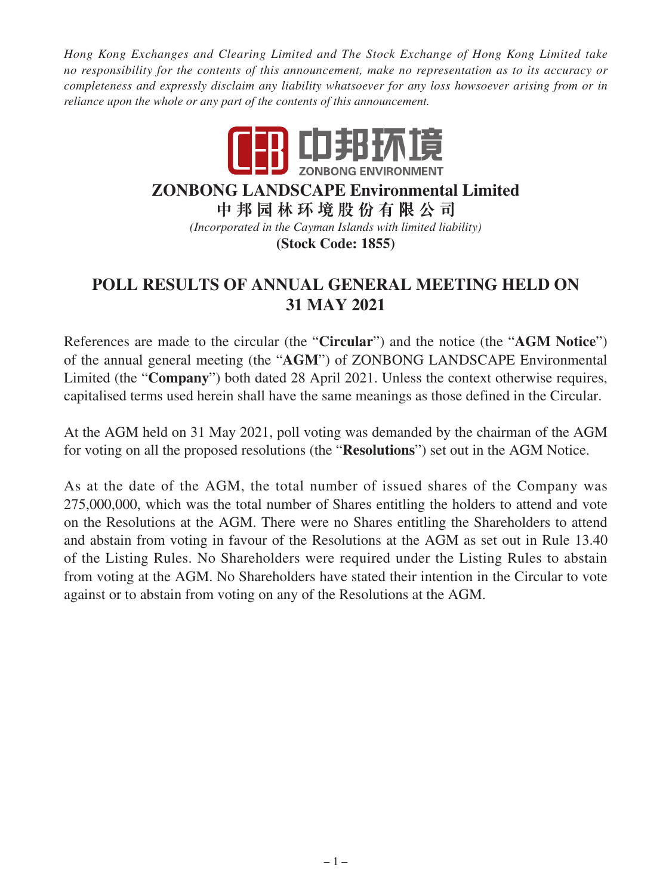*Hong Kong Exchanges and Clearing Limited and The Stock Exchange of Hong Kong Limited take no responsibility for the contents of this announcement, make no representation as to its accuracy or completeness and expressly disclaim any liability whatsoever for any loss howsoever arising from or in reliance upon the whole or any part of the contents of this announcement.*



## **ZONBONG LANDSCAPE Environmental Limited**

**中邦園林環境股份有限公司** *(Incorporated in the Cayman Islands with limited liability)* **(Stock Code: 1855)**

## **POLL RESULTS OF ANNUAL GENERAL MEETING HELD ON 31 MAY 2021**

References are made to the circular (the "**Circular**") and the notice (the "**AGM Notice**") of the annual general meeting (the "**AGM**") of ZONBONG LANDSCAPE Environmental Limited (the "**Company**") both dated 28 April 2021. Unless the context otherwise requires, capitalised terms used herein shall have the same meanings as those defined in the Circular.

At the AGM held on 31 May 2021, poll voting was demanded by the chairman of the AGM for voting on all the proposed resolutions (the "**Resolutions**") set out in the AGM Notice.

As at the date of the AGM, the total number of issued shares of the Company was 275,000,000, which was the total number of Shares entitling the holders to attend and vote on the Resolutions at the AGM. There were no Shares entitling the Shareholders to attend and abstain from voting in favour of the Resolutions at the AGM as set out in Rule 13.40 of the Listing Rules. No Shareholders were required under the Listing Rules to abstain from voting at the AGM. No Shareholders have stated their intention in the Circular to vote against or to abstain from voting on any of the Resolutions at the AGM.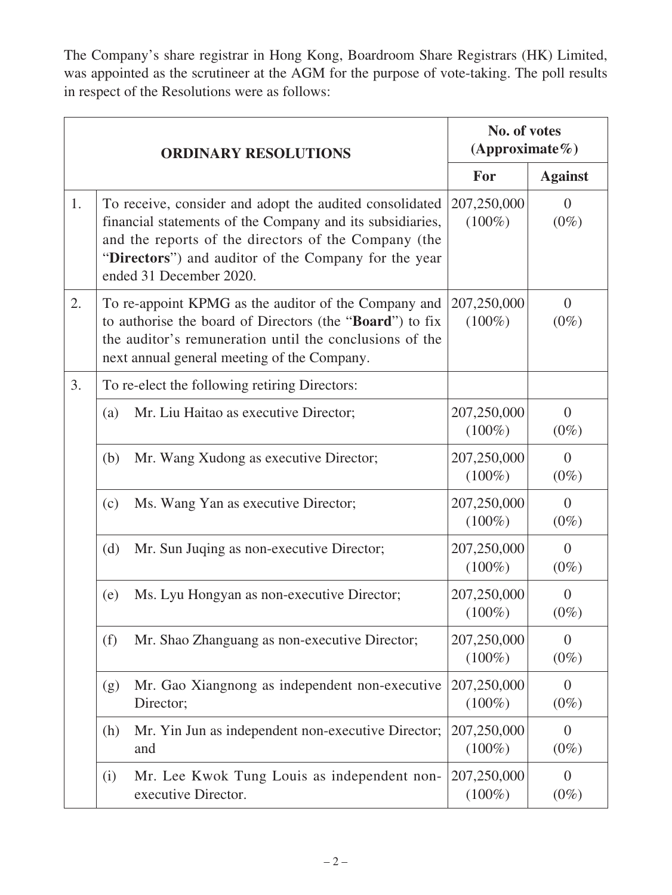The Company's share registrar in Hong Kong, Boardroom Share Registrars (HK) Limited, was appointed as the scrutineer at the AGM for the purpose of vote-taking. The poll results in respect of the Resolutions were as follows:

|    | <b>ORDINARY RESOLUTIONS</b>                                                                                                                                                                                                                                     |                          | No. of votes<br>(Approximate%) |  |
|----|-----------------------------------------------------------------------------------------------------------------------------------------------------------------------------------------------------------------------------------------------------------------|--------------------------|--------------------------------|--|
|    |                                                                                                                                                                                                                                                                 | For                      | <b>Against</b>                 |  |
| 1. | To receive, consider and adopt the audited consolidated<br>financial statements of the Company and its subsidiaries,<br>and the reports of the directors of the Company (the<br>"Directors") and auditor of the Company for the year<br>ended 31 December 2020. | 207,250,000<br>$(100\%)$ | $\overline{0}$<br>$(0\%)$      |  |
| 2. | To re-appoint KPMG as the auditor of the Company and<br>to authorise the board of Directors (the "Board") to fix<br>the auditor's remuneration until the conclusions of the<br>next annual general meeting of the Company.                                      | 207,250,000<br>$(100\%)$ | $\overline{0}$<br>$(0\%)$      |  |
| 3. | To re-elect the following retiring Directors:                                                                                                                                                                                                                   |                          |                                |  |
|    | (a)<br>Mr. Liu Haitao as executive Director;                                                                                                                                                                                                                    | 207,250,000<br>$(100\%)$ | $\Omega$<br>$(0\%)$            |  |
|    | Mr. Wang Xudong as executive Director;<br>(b)                                                                                                                                                                                                                   | 207,250,000<br>$(100\%)$ | $\overline{0}$<br>$(0\%)$      |  |
|    | (c)<br>Ms. Wang Yan as executive Director;                                                                                                                                                                                                                      | 207,250,000<br>$(100\%)$ | $\Omega$<br>$(0\%)$            |  |
|    | (d)<br>Mr. Sun Juqing as non-executive Director;                                                                                                                                                                                                                | 207,250,000<br>$(100\%)$ | $\Omega$<br>$(0\%)$            |  |
|    | Ms. Lyu Hongyan as non-executive Director;<br>(e)                                                                                                                                                                                                               | 207,250,000<br>$(100\%)$ | $\overline{0}$<br>$(0\%)$      |  |
|    | Mr. Shao Zhanguang as non-executive Director;<br>(f)                                                                                                                                                                                                            | 207,250,000<br>$(100\%)$ | $\overline{0}$<br>$(0\%)$      |  |
|    | Mr. Gao Xiangnong as independent non-executive<br>(g)<br>Director;                                                                                                                                                                                              | 207,250,000<br>$(100\%)$ | $\Omega$<br>$(0\%)$            |  |
|    | Mr. Yin Jun as independent non-executive Director;<br>(h)<br>and                                                                                                                                                                                                | 207,250,000<br>$(100\%)$ | $\Omega$<br>$(0\%)$            |  |
|    | Mr. Lee Kwok Tung Louis as independent non-<br>(i)<br>executive Director.                                                                                                                                                                                       | 207,250,000<br>$(100\%)$ | $\theta$<br>$(0\%)$            |  |